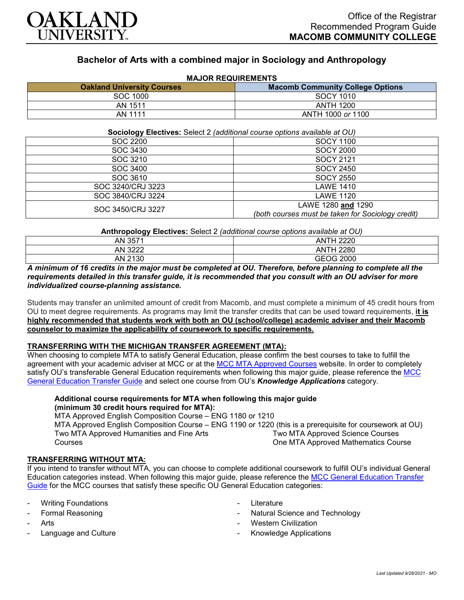

# **Bachelor of Arts with a combined major in Sociology and Anthropology**

| <b>MAJUR REQUIREMENTS</b>         |                                         |
|-----------------------------------|-----------------------------------------|
| <b>Oakland University Courses</b> | <b>Macomb Community College Options</b> |
| SOC 1000                          | SOCY 1010                               |
| AN 1511                           | <b>ANTH 1200</b>                        |
| AN 1111                           | ANTH 1000 or 1100                       |

## **MAJOR REQUIREMENTS**

**Sociology Electives:** Select 2 *(additional course options available at OU)*

| SOC 2200          | <b>SOCY 1100</b>                                  |
|-------------------|---------------------------------------------------|
| SOC 3430          | <b>SOCY 2000</b>                                  |
| SOC 3210          | <b>SOCY 2121</b>                                  |
| SOC 3400          | <b>SOCY 2450</b>                                  |
| SOC 3610          | <b>SOCY 2550</b>                                  |
| SOC 3240/CRJ 3223 | LAWE 1410                                         |
| SOC 3840/CRJ 3224 | <b>LAWE 1120</b>                                  |
| SOC 3450/CRJ 3227 | LAWE 1280 and 1290                                |
|                   | (both courses must be taken for Sociology credit) |

**Anthropology Electives:** Select 2 *(additional course options available at OU)*

| AN 3571                                    | 4 2220<br>ANTI   |
|--------------------------------------------|------------------|
| מממפ<br>AN.<br>$\mathcal{L}_{\mathcal{L}}$ | <b>ANTH 2280</b> |
| AN 2130                                    | <b>GEOG 2000</b> |

### *A minimum of 16 credits in the major must be completed at OU. Therefore, before planning to complete all the requirements detailed in this transfer guide, it is recommended that you consult with an OU adviser for more individualized course-planning assistance.*

Students may transfer an unlimited amount of credit from Macomb, and must complete a minimum of 45 credit hours from OU to meet degree requirements. As programs may limit the transfer credits that can be used toward requirements, **it is highly recommended that students work with both an OU (school/college) academic adviser and their Macomb counselor to maximize the applicability of coursework to specific requirements.**

## **TRANSFERRING WITH THE MICHIGAN TRANSFER AGREEMENT (MTA):**

When choosing to complete MTA to satisfy General Education, please confirm the best courses to take to fulfill the agreement with your academic adviser at MCC or at the [MCC MTA Approved Courses](http://www.macomb.edu/resources/transfer-articulation/attachments/mta-macrao-course-list.pdf) website. In order to completely satisfy OU's transferable General Education requirements when following this major quide, please reference the MCC [General Education Transfer Guide](https://wwwp.oakland.edu/Assets/Oakland/program-guides/macomb-community-college/university-general-education-requirements/MCC%20Gen%20Ed.pdf) and select one course from OU's *Knowledge Applications* category.

#### **Additional course requirements for MTA when following this major guide (minimum 30 credit hours required for MTA):**

MTA Approved English Composition Course – ENG 1180 or 1210 MTA Approved English Composition Course – ENG 1190 or 1220 (this is a prerequisite for coursework at OU) Two MTA Approved Humanities and Fine Arts **Courses** Two MTA Approved Science Courses One MTA Approved Mathematics Course

## **TRANSFERRING WITHOUT MTA:**

If you intend to transfer without MTA, you can choose to complete additional coursework to fulfill OU's individual General Education categories instead. When following this major guide, please reference the [MCC General Education Transfer](https://wwwp.oakland.edu/Assets/Oakland/program-guides/macomb-community-college/university-general-education-requirements/MCC%20Gen%20Ed.pdf) [Guide](https://wwwp.oakland.edu/Assets/Oakland/program-guides/macomb-community-college/university-general-education-requirements/MCC%20Gen%20Ed.pdf) for the MCC courses that satisfy these specific OU General Education categories:

- **Writing Foundations**
- Formal Reasoning
- **Arts**
- Language and Culture
- **Literature**
- Natural Science and Technology
- Western Civilization
- Knowledge Applications